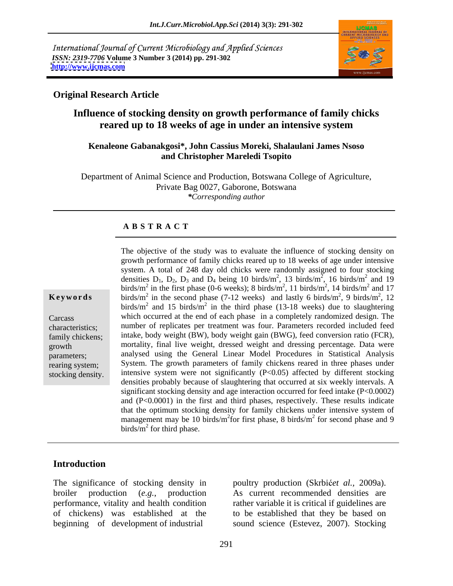International Journal of Current Microbiology and Applied Sciences *ISSN: 2319-7706* **Volume 3 Number 3 (2014) pp. 291-302 <http://www.ijcmas.com>**



## **Original Research Article**

# **Influence of stocking density on growth performance of family chicks reared up to 18 weeks of age in under an intensive system**

### **Kenaleone Gabanakgosi\*, John Cassius Moreki, Shalaulani James Nsoso and Christopher Mareledi Tsopito**

Department of Animal Science and Production, Botswana College of Agriculture, Private Bag 0027, Gaborone, Botswana *\*Corresponding author*

### **A B S T R A C T**

**Keywords** birds/m<sup>2</sup> in the second phase (7-12 weeks) and lastly 6 birds/m<sup>2</sup>, 9 birds/m<sup>2</sup>, 12 Carcass which occurred at the end of each phase in a completely randomized design. The characteristics; number of replicates per treatmentwas four. Parameters recorded included feed family chickens; intake, body weight (BW), body weight gain (BWG), feed conversion ratio (FCR), growth mortality, final live weight, dressed weight and dressing percentage. Data were parameters; analysed using the General Linear Model Procedures in Statistical Analysis rearing system; System. The growth parameters of family chickens reared in three phases under The objective of the study was to evaluate the influence of stocking density on<br>growth performance of family chicks reared up to 18 weeks of age under intensive<br>system. A total of 248 day old chicks were randomly assigned growth performance of family chicks reared up to 18 weeks of age under intensive system. A total of 248 day old chicks were randomly assigned to four stocking densities  $D_1$ ,  $D_2$ ,  $D_3$  and  $D_4$  being 10 birds/m<sup>2</sup>, 13 birds/m<sup>2</sup>, 16 birds/m<sup>2</sup> and 19 , 13 birds/m<sup>2</sup>, 16 birds/m<sup>2</sup> and 19  $\frac{2}{2}$  16 hirds/m<sup>2</sup> and 10 , 16 birds/ $m^2$  and 19  $^2$  and 10 and 19 birds/m<sup>2</sup> in the first phase (0-6 weeks); 8 birds/m<sup>2</sup>, 11 birds/m<sup>2</sup>, 14 birds/m<sup>2</sup> and 17 , 11 birds/m<sup>2</sup>, 14 birds/m<sup>2</sup> and 17  $^2$  14 hirds/m<sup>2</sup> and 17 , 14 birds/ $m^2$  and 17 and 17 <sup>2</sup> 0 birds/m<sup>2</sup> 12 , 9 birds/m<sup>2</sup>, 12 2 1  $\Omega$ , 12 birds/m<sup>2</sup> and 15 birds/m<sup>2</sup> in the third phase (13-18 weeks) due to slaughtering intensive system were not significantly  $(P<0.05)$  affected by different stocking densities probably because of slaughtering that occurred at six weekly intervals. A significant stocking density and age interaction occurred for feed intake (P<0.0002) and (P<0.0001) in the first and third phases, respectively. These results indicate that the optimum stocking density for family chickens under intensive system of management may be 10 birds/m<sup>2</sup> for first phase, 8 birds/m<sup>2</sup> for second phase and 9 for second phase and 9  $\frac{1}{2}$  for third phase. birds/ $m^2$  for third phase.

# **Introduction**

The significance of stocking density in poultry production (Skrbićet al., 2009a). broiler production (*e.g.*, production As current recommended densities are performance, vitality and health condition rather variable it is critical if guidelines are of chickens) was established at the to be established that they be based on

beginning of development of industrial sound science (Estevez, 2007). Stocking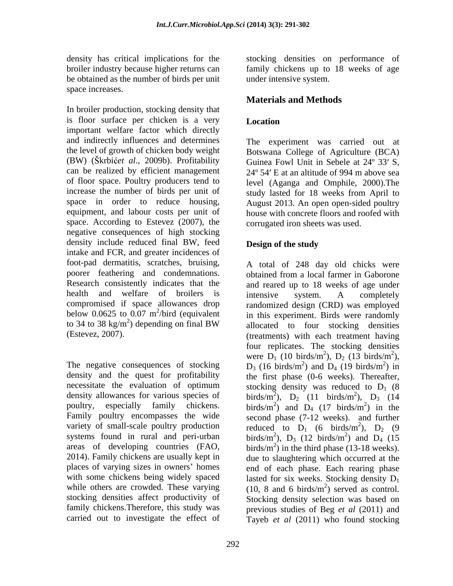be obtained as the number of birds per unit space increases.

In broiler production, stocking density that is floor surface per chicken is a very Location important welfare factor which directly and indirectly influences and determines the level of growth of chicken body weight (BW) (Skrbićet al., 2009b). Profitability Guinea Fowl Unit in Sebele at 24° 33' S, can be realized by efficient management 24º 54 E at an altitude of 994 m above sea of floor space. Poultry producers tend to level (Aganga and Omphile, 2000).The increase the number of birds per unit of space in order to reduce housing, August 2013. An open open-sided poultry equipment, and labour costs per unit of house with concrete floors and roofed with space. According to Estevez (2007), the negative consequences of high stocking density include reduced final BW, feed **Design of the study** intake and FCR, and greater incidences of foot-pad dermatitis, scratches, bruising, A total of 248 day old chicks were health and welfare of broilers is intensive system. A completely

Family poultry encompasses the wide variety of small-scale poultry production reduced to  $D_1$  (6 birds/m<sup>2</sup>),  $D_2$  (9 2014). Family chickens are usually kept in due to slaughtering which occurred at the

density has critical implications for the stocking densities on performance of broiler industry because higher returns can family chickens up to 18 weeks of age under intensive system.

# **Materials and Methods**

# **Location**

The experiment was carried out at Botswana College of Agriculture (BCA) study lasted for 18 weeks from April to corrugated iron sheets was used.

# **Design of the study**

poorer feathering and condemnations. obtained from a local farmer in Gaborone Research consistently indicates that the and reared up to 18 weeks of age under compromised if space allowances drop randomized design (CRD) was employed below  $0.0625$  to  $0.07$  m<sup>2</sup>/bird (equivalent in this experiment. Birds were randomly to 34 to 38 kg/m<sup>2</sup>) depending on final BW allocated to four stocking densities ) depending on final BW allocated to four stocking densities (Estevez, 2007). (treatments) with each treatment having The negative consequences of stocking  $D_3$  (16 birds/m<sup>2</sup>) and  $D_4$  (19 birds/m<sup>2</sup>) in density and the quest for profitability the first phase (0-6 weeks). Thereafter, necessitate the evaluation of optimum stocking density was reduced to  $D_1$  (8 density allowances for various species of birds/m<sup>2</sup>),  $D_2$  (11 birds/m<sup>2</sup>),  $D_3$  (14 poultry, especially family chickens. birds/m<sup>2</sup>) and  $D_4$  (17 birds/m<sup>2</sup>) in the systems found in rural and peri-urban birds/m<sup>2</sup>),  $D_3$  (12 birds/m<sup>2</sup>) and  $D_4$  (15 areas of developing countries  $(FAO, \text{birds/m}^2)$  in the third phase (13-18 weeks). places of varying sizes in owners' homes end of each phase. Each rearing phase with some chickens being widely spaced lasted for six weeks. Stocking density  $D_1$ while others are crowded. These varying  $(10, 8 \text{ and } 6 \text{ birds/m}^2)$  served as control. stocking densities affect productivity of Stocking density selection was based on family chickens.Therefore, this study was previous studies of Beg *et al* (2011) and carried out to investigate the effect of Tayeb *et al* (2011) who found stocking intensive system. A completely four replicates. The stocking densities<br>were  $D_1$  (10 birds/m<sup>2</sup>),  $D_2$  (13 birds/m<sup>2</sup>), were  $D_1$  (10 birds/m<sup>2</sup>),  $D_2$  (13 birds/m<sup>2</sup>), <sup>2</sup>) D  $(12 \text{ bind}_2/\text{m}^2)$ ),  $D_2$  (13 birds/m<sup>2</sup>),  $2\lambda$ ), ) and  $D_4$  (19 birds/m<sup>2</sup>) in  $^{2}$  in  $)$  in ),  $D_2$  (11 birds/m<sup>2</sup>),  $D_3$  (14  $^{2}$  D  $(14)$ ),  $D_3$  (14) ) and  $D_4$  (17 birds/m<sup>2</sup>) in the  $^{2}$  in the ) in the second phase (7-12 weeks). and further reduced to  $D_1$  (6 birds/m<sup>2</sup>),  $D_2$  (9  $^{2}$  D. (0 ),  $D_2$  (9 ),  $D_3$  (12 birds/m<sup>2</sup>) and  $D_4$  (15  $^{2}$  and D  $(15$ ) and  $D_4$  (15 birds/ $(m<sup>2</sup>)$  in the third phase (13-18 weeks).<br>due to slaughtering which occurred at the ) served as control.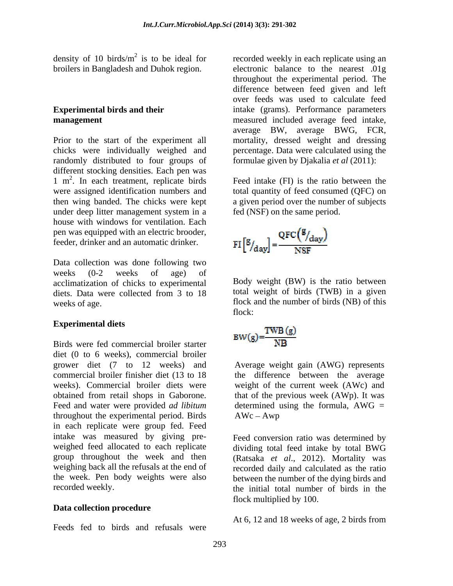density of 10 birds/ $m^2$  is to be ideal for recorded weekly in each replicate using an broilers in Bangladesh and Duhok region.

randomly distributed to four groups of different stocking densities. Each pen was 1 m 2 . In each treatment, replicate birds Feed intake (FI) is the ratio between the were assigned identification numbers and total quantity of feed consumed (QFC) on then wing banded. The chicks were kept a given period over the number of subjects under deep litter management system in a house with windows for ventilation. Each pen was equipped with an electric brooder, feeder, drinker and an automatic drinker.

Data collection was done following two weeks (0-2 weeks of age) of acclimatization of chicks to experimental diets. Data were collected from 3 to 18 total weight of birds (TWB) in a given

### **Experimental diets**

Birds were fed commercial broiler starter diet (0 to 6 weeks), commercial broiler grower diet (7 to 12 weeks) and commercial broiler finisher diet (13 to 18 the difference between the average weeks). Commercial broiler diets were obtained from retail shops in Gaborone. Feed and water were provided *ad libitum* throughout the experimental period. Birds in each replicate were group fed. Feed intake was measured by giving pre- Feed conversion ratio was determined by weighed feed allocated to each replicate dividing total feed intake by total BWG group throughout the week and then (Ratsaka *et al*., 2012). Mortality was weighing back all the refusals at the end of recorded daily and calculated as the ratio the week. Pen body weights were also

### **Data collection procedure**

Feeds fed to birds and refusals were

**Experimental birds and their**  intake (grams). Performance parameters **management** measured included average feed intake, Prior to the start of the experiment all mortality, dressed weight and dressing chicks were individually weighed and percentage. Data were calculated using the electronic balance to the nearest .01g throughout the experimental period. The difference between feed given and left over feeds was used to calculate feed average BW, average BWG, FCR, formulae given by Djakalia *et al* (2011):

fed (NSF) on the same period.

$$
FI\left[\frac{g}{d_{\text{day}}}\right] = \frac{QFC\left(\frac{g}{d_{\text{day}}}\right)}{NSF}
$$

weeks of age. **flock** and the number of birds (NB) of this Body weight (BW) is the ratio between total weight of birds (TWB) in a given flock:

$$
\mathrm{BW}(g){=}\frac{\mathrm{TWB}\left( g\right) }{\mathrm{NB}}
$$

Average weight gain (AWG) represents weight of the current week (AWc) and that of the previous week (AWp). It was determined using the formula,  $AWG =$  $AWc - Awp$ 

recorded weekly. the initial total number of birds in the between the number of the dying birds and flock multiplied by 100.

At 6, 12 and 18 weeks of age, 2 birds from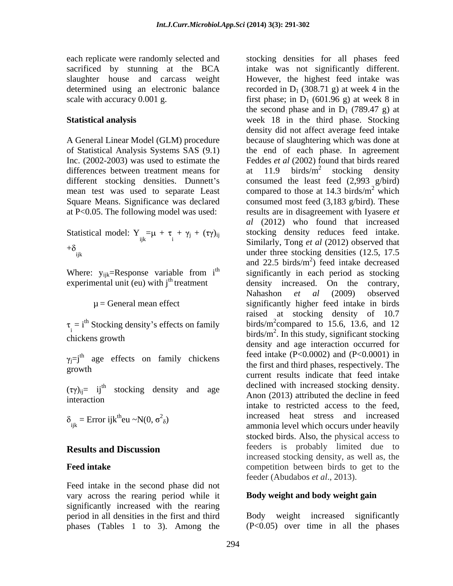each replicate were randomly selected and stocking densities for all phases feed

differences between treatment means for  $at$  11.9 birds/m<sup>2</sup> stocking density

Statistical model:  $Y_{ijk} = \mu + \tau_i + \gamma_j + (\tau \gamma)_{ij}$ 

experimental unit (eu) with  $j<sup>th</sup>$  treatment

 $\tau_i = i^{\text{th}}$  Stocking density's effects on family

 $\delta_{ijk}$  = Error ijk<sup>th</sup>eu ~N(0,  $\sigma^2_{\delta}$ )

Feed intake in the second phase did not vary across the rearing period while it significantly increased with the rearing period in all densities in the first and third phases (Tables 1 to 3). Among the

sacrificed by stunning at the BCA intake was not significantly different. slaughter house and carcass weight However, the highest feed intake was determined using an electronic balance recorded in  $D_1$  (308.71 g) at week 4 in the scale with accuracy 0.001 g.  $\qquad \qquad$  first phase; in D<sub>1</sub> (601.96 g) at week 8 in **Statistical analysis** week 18 in the third phase. Stocking A General Linear Model (GLM) procedure because of slaughtering which was done at of Statistical Analysis Systems SAS (9.1) the end of each phase. In agreement Inc. (2002-2003) was used to estimate the Feddes *et al* (2002) found that birds reared different stocking densities. Dunnett's consumed the least feed (2,993 g/bird) mean test was used to separate Least compared to those at  $14.3$  birds/m<sup>2</sup> which Square Means. Significance was declared consumed most feed (3,183 g/bird). These at P<0.05. The following model was used: results are in disagreement with Iyasere *et*   $\tau_{ijk} = \mu + \tau_i + \gamma_j + (\tau \gamma)_{ij}$  stocking density reduces feed intake.<br>Similarly Tong at al (2012) observed that i Similarly, Tong *et al* (2012) observed that  $+ \gamma_j + (\tau \gamma)_{ij}$  stocking density reduces feed intake.  $+\delta$ <sub>ijk</sub> under three stocking densities (12.5, 17.5) Where:  $y_{ijk}$ =Response variable from i<sup>th</sup> significantly in each period as stocking <sup>th</sup> significantly in each period as stocking  $\mu$  = General mean effect significantly higher feed intake in birds  $\frac{1}{2}$  birds/m<sup>2</sup>. In this study, significant stocking chickens growth density and age interaction occurred for  $j=j<sup>th</sup>$  age effects on family chickens feed intake  $(P<0.0002)$  and  $(P<0.0001)$  in growth the contract of the contract of the contract of the contract of the contract of the contract of the contract of the contract of the contract of the contract of the contract of the contract of the contract of the con  $(\tau \gamma)_{ij} = i j^{th}$  stocking density and age declined with increased stocking density. <sup>th</sup> stocking density and age declined with increased stocking density. interaction and the contraction of the first state of the first state of the first state of the first state of the first state of the first state of the first state of the first state of the first state of the first state ijk and the sammonia level which occurs under heavily ) increased heat stress and increased **Results and Discussion Results and Discussion Results and Discussion Feed intake Example 1 Competition** between birds to get to the the second phase and in  $D_1$  (789.47 g) at density did not affect average feed intake at 11.9 birds/ $m^2$  stocking density  $\frac{2}{3}$  etcoking density stocking density  $\frac{2}{\text{which}}$ which **with** *al* (2012) who found that increased and  $22.5$  birds/m<sup>2</sup>) feed intake decreased ) feed intake decreased density increased. On the contrary, Nahashon *et al* (2009) observed raised at stocking density of 10.7 birds/m<sup>2</sup>compared to 15.6, 13.6, and 12 feed intake (P<0.0002) and (P<0.0001) in the first and third phases, respectively. The current results indicate that feed intake Anon (2013) attributed the decline in feed intake to restricted access to the feed, stocked birds. Also, the physical access to feeders is probably limited due to increased stocking density, as well as, the feeder (Abudabos *et al*., 2013).

# **Body weight and body weight gain**

Body weight increased significantly (P<0.05) over time in all the phases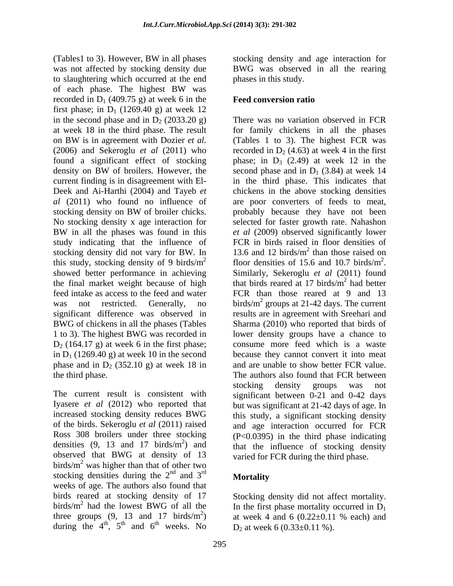(Tables1 to 3). However, BW in all phases was not affected by stocking density due BWG was observed in all the rearing to slaughtering which occurred at the end of each phase. The highest BW was recorded in  $D_1$  (409.75 g) at week 6 in the first phase; in  $D_1$  (1269.40 g) at week 12 in the second phase and in  $D_2$  (2033.20 g) study indicating that the influence of stocking density did not vary for BW. In showed better performance in achieving Similarly, Sekeroglu et al (2011) found the final market weight because of high that birds reared at 17 birds/ $m<sup>2</sup>$  had better  $D_2$  (164.17 g) at week 6 in the first phase;<br>in  $D_1$  (1269.40 g) at week 10 in the second phase and in  $D_2$  (352.10 g) at week 18 in

of the birds. Sekeroglu *et al* (2011) raised Ross 308 broilers under three stocking densities  $(9, 13 \text{ and } 17 \text{ birds/m}^2)$  and observed that BWG at density of 13 birds/ $m^2$  was higher than that of other two stocking densities during the  $2<sup>nd</sup>$  and  $3<sup>rd</sup>$  Mortality  $\frac{nd}{2}$  and  $\frac{2^{rd}}{d}$  . The set of the set of the set of the set of the set of the set of the set of the set of the set of the set of the set of the set of the set of the set of the set of the set of the set of the s weeks of age. The authors also found that birds reared at stocking density of 17 Stocking density did not affect mortality. birds/m<sup>2</sup> had the lowest BWG of all the In the first phase mortality occurred in  $D_1$ birds/ $m<sup>2</sup>$  had the lowest BWG of all the three groups (9, 13 and 17 birds/m<sup>2</sup>) at week 4 and 6 (0.22 $\pm$ 0.11 % each) and during the  $4^{\text{th}}$ ,  $5^{\text{th}}$  and  $6^{\text{th}}$  weeks. No  $D_2$  at week 6 (0.33±0.11 %).

stocking density and age interaction for phases in this study.

### **Feed conversion ratio**

at week 18 in the third phase. The result for family chickens in all the phases on BW is in agreement with Dozier *et al.* (2006) and Sekeroglu *et al* (2011) who recorded in  $D_2$  (4.63) at week 4 in the first found a significant effect of stocking  $\qquad$  phase; in  $D_3$  (2.49) at week 12 in the density on BW of broilers. However, the second phase and in  $D_1$  (3.84) at week 14 current finding is in disagreement with El- in the third phase. This indicates that Deek and Ai-Harthi (2004) and Tayeb *et*  chickens in the above stocking densities *al* (2011) who found no influence of are poor converters of feeds to meat, stocking density on BW of broiler chicks. The probably because they have not been No stocking density x age interaction for selected for faster growth rate. Nahashon BW in all the phases was found in this *et al (2009)* observed significantly lower this study, stocking density of 9 birds/ $m^2$  floor densities of 15.6 and 10.7 birds/ $m^2$ . feed intake as access to the feed and water FCR than those reared at 9 and 13 was not restricted. Generally, no birds/ $m^2$  groups at 21-42 days. The current significant difference was observed in results are in agreement with Sreehari and BWG of chickens in all the phases (Tables Sharma (2010) who reported that birds of 1 to 3). The highest BWG was recorded in lower density groups have a chance to in  $D_1$  (1269.40 g) at week 10 in the second because they cannot convert it into meat the third phase. The authors also found that FCR between The current result is consistent with significant between 0-21 and 0-42 days Iyasere *et al* (2012) who reported that but was significant at 21-42 days of age. In increased stocking density reduces BWG this study, a significant stocking density 2) and  $\frac{1}{2}$  is  $\frac{1}{2}$  in  $\frac{1}{2}$  in  $\frac{1}{2}$  in  $\frac{1}{2}$  in  $\frac{1}{2}$  in  $\frac{1}{2}$  in  $\frac{1}{2}$  in  $\frac{1}{2}$ ) and that the influence of stocking density There was no variation observed in FCR (Tables 1 to 3). The highest FCR was probably because they have not been *et al* (2009) observed significantly lower FCR in birds raised in floor densities of 13.6 and 12 birds/ $m<sup>2</sup>$  than those raised on  $^2$  than those raised on than those raised on 2 floor densities of 15.6 and 10.7 birds/m<sup>2</sup>.<br>Similarly, Sekeroglu *et al* (2011) found that birds reared at 17 birds/ $m<sup>2</sup>$  had better  $^2$  had bottor had better consume more feed which is a waste and are unable to show better FCR value. stocking density groups was not and age interaction occurred for FCR (P<0.0395) in the third phase indicating varied for FCR during the third phase.

### and  $3^{rd}$  Mortality  $r$ d and  $r$  and  $r$  and  $r$  and  $r$  and  $r$  and  $r$  and  $r$  and  $r$  and  $r$  and  $r$  and  $r$  and  $r$  and  $r$  and  $r$  and  $r$  and  $r$  and  $r$  and  $r$  and  $r$  and  $r$  and  $r$  and  $r$  and  $r$  and  $r$  and  $r$  and  $r$  and  $r$  **Mortality**

,  $5^{\text{th}}$  and  $6^{\text{th}}$  weeks. No  $D_2$  at week 6 (0.33 $\pm$ 0.11 %). <sup>th</sup> weeks No. Between  $6(0.22, 0.11.0)$ at week 4 and 6  $(0.22 \pm 0.11)$  % each) and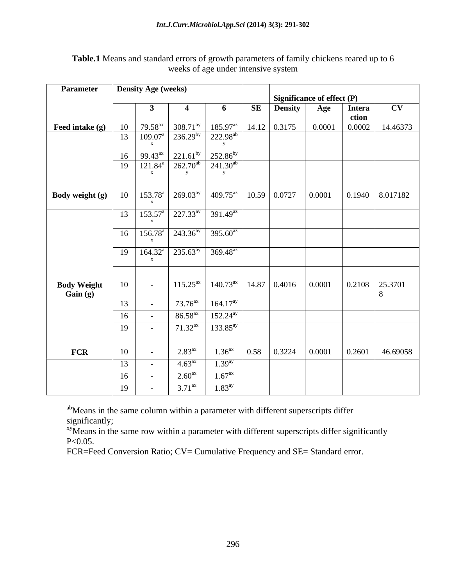| Parameter                                                                                                                                   |    | <b>Density Age (weeks)</b> |                      |                                                                          |                                                     |     |                                    |          |
|---------------------------------------------------------------------------------------------------------------------------------------------|----|----------------------------|----------------------|--------------------------------------------------------------------------|-----------------------------------------------------|-----|------------------------------------|----------|
|                                                                                                                                             |    |                            |                      |                                                                          | Significance of effect (P)                          |     |                                    |          |
|                                                                                                                                             |    | $\mathbf{3}$               |                      | 6                                                                        | <b>SE</b> Density                                   | Age | <b>Intera</b>                      | CV       |
|                                                                                                                                             |    |                            |                      |                                                                          |                                                     |     | ction                              |          |
| <b>Feed intake (g)</b>   10   79.58 <sup>ax</sup>   308.71 <sup>ay</sup>   185.97 <sup>az</sup>   14.12   0.3175                            |    |                            |                      |                                                                          |                                                     |     | $0.0001$ 0.0002                    | 14.46373 |
|                                                                                                                                             |    |                            |                      | $13   109.07^{\circ}   236.29^{\circ}   222.98^{\circ}$                  |                                                     |     |                                    |          |
|                                                                                                                                             |    |                            |                      |                                                                          |                                                     |     |                                    |          |
|                                                                                                                                             |    |                            |                      | 16 99.43 <sup>ax</sup> 221.61 <sup>by</sup> 252.86 <sup>by</sup>         |                                                     |     |                                    |          |
|                                                                                                                                             |    |                            |                      | $19$   121.84 <sup>a</sup>   262.70 <sup>ab</sup>   241.30 <sup>ab</sup> |                                                     |     |                                    |          |
|                                                                                                                                             |    |                            |                      |                                                                          |                                                     |     |                                    |          |
|                                                                                                                                             |    |                            |                      |                                                                          |                                                     |     |                                    |          |
| <b>Body weight (g)</b>   10   $\overline{153.78^a}$   $269.03^{ay}$   $409.75^{az}$   $10.59$   $0.0727$   $0.0001$   $0.1940$   $8.017182$ |    |                            |                      |                                                                          |                                                     |     |                                    |          |
|                                                                                                                                             |    |                            |                      |                                                                          |                                                     |     |                                    |          |
|                                                                                                                                             |    |                            |                      | $13   153.57^a   227.33^{ay}   391.49^{az}$                              |                                                     |     |                                    |          |
|                                                                                                                                             |    |                            |                      |                                                                          |                                                     |     |                                    |          |
|                                                                                                                                             |    |                            |                      | $16$   $156.78^{\circ}$   $243.36^{\circ}$   $395.60^{\circ}$            |                                                     |     |                                    |          |
|                                                                                                                                             |    |                            |                      |                                                                          |                                                     |     |                                    |          |
|                                                                                                                                             |    |                            |                      | $19 \t 164.32^{\text{a}} \t 235.63^{\text{ay}} \t 369.48^{\text{az}}$    |                                                     |     |                                    |          |
|                                                                                                                                             |    |                            |                      |                                                                          |                                                     |     |                                    |          |
|                                                                                                                                             |    |                            |                      |                                                                          |                                                     |     |                                    |          |
| <b>Body Weight</b>                                                                                                                          | 10 | <b>Contract Contract</b>   |                      |                                                                          | $115.25ax$ 140.73 <sup>ax</sup> 14.87 0.4016 0.0001 |     | $\boxed{0.2108}$ $\boxed{25.3701}$ |          |
| Gain(g)                                                                                                                                     |    |                            |                      |                                                                          |                                                     |     |                                    |          |
|                                                                                                                                             | 13 | $\sim$ $ \sim$             |                      | $\overline{73.76}^{ax}$ 164.17 <sup>ay</sup>                             |                                                     |     |                                    |          |
|                                                                                                                                             | 16 | $\sim$                     | $86.58^{ax}$         | $152.24^{ay}$                                                            |                                                     |     |                                    |          |
|                                                                                                                                             |    |                            |                      |                                                                          |                                                     |     |                                    |          |
|                                                                                                                                             | 19 | $\sim$ $ \sim$             | $71.32^{ax}$         | $133.85^{ay}$                                                            |                                                     |     |                                    |          |
|                                                                                                                                             |    |                            |                      |                                                                          |                                                     |     |                                    |          |
| FCR                                                                                                                                         | 10 |                            | 2.83 <sup>ax</sup>   | $1.36^{ax}$ 0.58 0.3224                                                  |                                                     |     |                                    |          |
|                                                                                                                                             | 13 | $\sim$                     | 4.63 <sup>ax</sup>   | $1.39^{ay}$                                                              |                                                     |     |                                    |          |
|                                                                                                                                             |    |                            |                      |                                                                          |                                                     |     |                                    |          |
|                                                                                                                                             | 16 |                            | 2.60 <sup>ax</sup>   | 1.67 <sup>ax</sup>                                                       |                                                     |     |                                    |          |
|                                                                                                                                             | 19 | $\sim$ $ \sim$             | $3.71$ <sup>ax</sup> | 1.83 <sup>ay</sup>                                                       |                                                     |     |                                    |          |

# **Table.1** Means and standard errors of growth parameters of family chickens reared up to 6 weeks of age under intensive system

abMeans in the same column within a parameter with different superscripts differ significantly;

xyMeans in the same row within a parameter with different superscripts differ significantly  $P<0.05$ .

FCR=Feed Conversion Ratio; CV= Cumulative Frequency and SE= Standard error.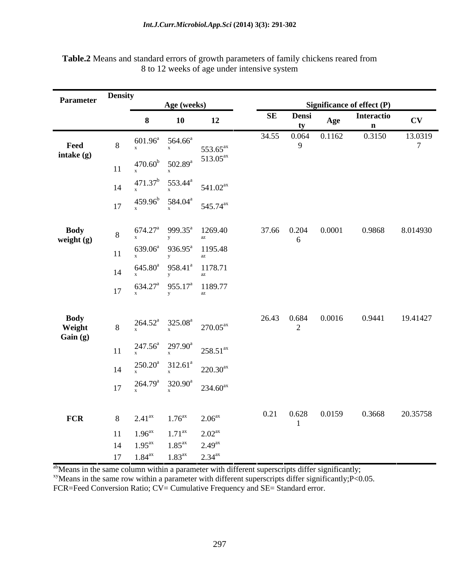| <b>Parameter</b>     | <b>Density</b>       |                                                                      |                    |                            |                   |                        |
|----------------------|----------------------|----------------------------------------------------------------------|--------------------|----------------------------|-------------------|------------------------|
|                      |                      | Age (weeks)                                                          |                    | Significance of effect (P) |                   |                        |
|                      |                      | 10                                                                   | 12                 | <b>SE</b> Densi<br>Age     | <b>Interactio</b> | $\mathbf{C}\mathbf{V}$ |
|                      |                      |                                                                      |                    |                            |                   |                        |
| Feed                 |                      | 8 $601.96^a$ 564.66 <sup>a</sup> 553.65 <sup>ax</sup>                |                    | 34.55  0.064  0.1162       | 0.3150            | 13.0319                |
| intake (g)           |                      |                                                                      |                    |                            |                   |                        |
|                      |                      | 11 $\frac{470.60^b}{x} = \frac{502.89^a}{x} = 513.05^{ax}$           |                    |                            |                   |                        |
|                      |                      |                                                                      |                    |                            |                   |                        |
|                      |                      | 14 $471.37^b$ 553.44 <sup>a</sup> 541.02 <sup>ax</sup>               |                    |                            |                   |                        |
|                      |                      | 17 $459.96^b$ $584.04^a$ $545.74^{ax}$                               |                    |                            |                   |                        |
|                      |                      |                                                                      |                    |                            |                   |                        |
|                      |                      |                                                                      |                    | 37.66 0.204<br>0.0001      | 0.9868            | 8.014930               |
| Body<br>weight $(g)$ |                      | 8 $674.27^a$ 999.35 <sup>a</sup> 1269.40                             |                    | 6                          |                   |                        |
|                      |                      | 11 $\frac{639.06^a}{x}$ $\frac{936.95^a}{y}$ 1195.48                 |                    |                            |                   |                        |
|                      |                      |                                                                      |                    |                            |                   |                        |
|                      |                      | 14 $645.80^a$ $958.41^a$ $1178.71$                                   |                    |                            |                   |                        |
|                      |                      | 17 $634.27^a$ $955.17^a$ $1189.77$                                   |                    |                            |                   |                        |
|                      |                      |                                                                      |                    |                            |                   |                        |
|                      |                      |                                                                      |                    |                            |                   |                        |
| Body<br>Weight       |                      | 8 $^{264.52^a}$ $^{325.08^a}$ $^{270.05^{ax}}$                       |                    | 26.43 0.684 0.0016         | 0.9441            | 19.41427               |
| Gain(g)              |                      |                                                                      |                    |                            |                   |                        |
|                      |                      | 11 $\frac{247.56^a}{x}$ $\frac{297.90^a}{x}$ $\frac{258.51^{ax}}{x}$ |                    |                            |                   |                        |
|                      |                      |                                                                      |                    |                            |                   |                        |
|                      |                      | 14 $\frac{250.20^a}{x}$ $\frac{312.61^a}{x}$ 220.30 <sup>ax</sup>    |                    |                            |                   |                        |
|                      |                      |                                                                      |                    |                            |                   |                        |
|                      |                      | 17 $^{264.79^{a}}$ $^{320.90^{a}}$ $^{234.60^{ax}}$                  |                    |                            |                   |                        |
|                      |                      |                                                                      |                    |                            |                   |                        |
| <b>FCR</b>           | 8 $2.41^{\text{ax}}$ | $1.76^{ax}$ $2.06^{ax}$                                              |                    | 0.21  0.628  0.0159        |                   | 0.3668 20.35758        |
|                      |                      |                                                                      |                    |                            |                   |                        |
|                      | 11 $1.96^{ax}$       | $1.71^{ax}$                                                          | 2.02 <sup>ax</sup> |                            |                   |                        |
|                      | 14 $1.95^{ax}$       | 1.85 <sup>ax</sup>                                                   | 2.49 <sup>ax</sup> |                            |                   |                        |
|                      | $17 \t1.84ax$        | $1.83^{ax}$ $2.34^{ax}$                                              |                    |                            |                   |                        |

**Table.2** Means and standard errors of growth parameters of family chickens reared from 8 to 12 weeks of age under intensive system

<sup>ab</sup>Means in the same column within a parameter with different superscripts differ significantly;

xyMeans in the same row within a parameter with different superscripts differ significantly;P<0.05.

FCR=Feed Conversion Ratio; CV= Cumulative Frequency and SE= Standard error.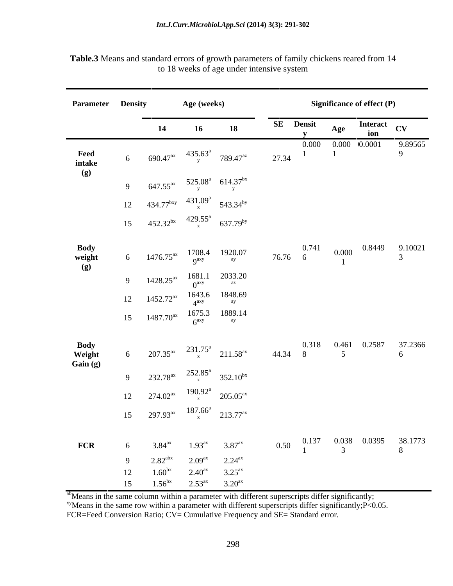| <b>Parameter Density</b>   |    |                    | Age (weeks)                                                       |                                                                                   |                                                                                  | <b>Significance of effect (P)</b> |             |         |
|----------------------------|----|--------------------|-------------------------------------------------------------------|-----------------------------------------------------------------------------------|----------------------------------------------------------------------------------|-----------------------------------|-------------|---------|
|                            |    |                    | 16                                                                | <b>18</b>                                                                         | SE Densit                                                                        | Age                               | Interact CV |         |
|                            |    |                    |                                                                   |                                                                                   |                                                                                  | $0.000$ $0.000$ $0.0001$          |             | 9.89565 |
|                            |    |                    |                                                                   | 6 690.47 <sup>ax</sup> $435.63^a$ 789.47 <sup>az</sup> 27.34                      |                                                                                  |                                   |             | 9       |
| Feed<br>intake<br>(g)      |    |                    |                                                                   |                                                                                   |                                                                                  |                                   |             |         |
|                            |    |                    |                                                                   | 9 647.55 <sup>ax</sup> 525.08 <sup>a</sup> 614.37 <sup>bx</sup>                   |                                                                                  |                                   |             |         |
|                            |    |                    |                                                                   | 12 434.77 <sup>bxy</sup> $431.09^a$ 543.34 <sup>by</sup>                          |                                                                                  |                                   |             |         |
|                            |    |                    |                                                                   | 15 $452.32^{bx}$ $429.55^a$ $637.79^{by}$                                         |                                                                                  |                                   |             |         |
|                            |    |                    |                                                                   |                                                                                   |                                                                                  |                                   |             |         |
|                            |    |                    |                                                                   |                                                                                   | $76.76 \t6 \t\t 0.000 \t\t 0.8449 \t\t 9.10021$<br>3                             |                                   |             |         |
| Body<br>weight<br>(g)      |    |                    |                                                                   | 6 1476.75 <sup>ax</sup> 1708.4 1920.07<br>9 <sup>ay</sup> 9 <sup>ay 1920.07</sup> |                                                                                  |                                   |             |         |
|                            |    |                    |                                                                   | 9 1428.25 <sup>ax</sup> 1681.1 2033.20<br>$0^{axy}$ 2033.20                       |                                                                                  |                                   |             |         |
|                            |    |                    |                                                                   | 12 1452.72 <sup>ax</sup> 1643.6 1848.69<br>$4^{axy}$ 1848.69                      |                                                                                  |                                   |             |         |
|                            |    |                    |                                                                   |                                                                                   |                                                                                  |                                   |             |         |
|                            |    |                    |                                                                   | 15 $1487.70^{ax}$ $1675.3$ $1889.14$<br>$6^{axy}$ $8^{ay}$                        |                                                                                  |                                   |             |         |
|                            |    |                    |                                                                   |                                                                                   |                                                                                  |                                   |             | 37.2366 |
| Body<br>Weight<br>Gain (g) |    |                    |                                                                   |                                                                                   | 6 $207.35^{ax}$ $231.75^a$ $211.58^{ax}$ $44.34$ 8 $5$ $5$                       |                                   |             | 6       |
|                            |    |                    |                                                                   | 9 232.78 <sup>ax</sup> $252.85^a$ 352.10 <sup>bx</sup>                            |                                                                                  |                                   |             |         |
|                            |    |                    |                                                                   | 12 $274.02^{ax}$ $190.92^a$ $205.05^{ax}$                                         |                                                                                  |                                   |             |         |
|                            |    |                    |                                                                   |                                                                                   |                                                                                  |                                   |             |         |
|                            |    |                    |                                                                   | 15 297.93 <sup>ax</sup> $187.66^a$ 213.77 <sup>ax</sup>                           |                                                                                  |                                   |             |         |
|                            |    |                    |                                                                   |                                                                                   |                                                                                  |                                   |             |         |
| <b>FCR</b>                 |    |                    | 6 $3.84^{\text{ax}}$ $1.93^{\text{ax}}$ $3.87^{\text{ax}}$        |                                                                                   | 0.50 $\begin{matrix} 0.137 & 0.038 & 0.0395 & 38.1773 \\ 1 & 3 & 8 \end{matrix}$ |                                   |             |         |
|                            |    |                    | 9 $2.82^{\text{abx}}$ $2.09^{\text{ax}}$ $2.24^{\text{ax}}$       |                                                                                   |                                                                                  |                                   |             |         |
|                            | 15 | 1.56 <sup>bx</sup> | 12 $1.60^{bx}$ $2.40^{ax}$ $3.25^{ax}$<br>$2.53^{ax}$ $3.20^{ax}$ |                                                                                   |                                                                                  |                                   |             |         |

**Table.3** Means and standard errors of growth parameters of family chickens reared from 14 to 18 weeks of age under intensive system

abMeans in the same column within a parameter with different superscripts differ significantly;

xyMeans in the same row within a parameter with different superscripts differ significantly; P<0.05.

FCR=Feed Conversion Ratio; CV= Cumulative Frequency and SE= Standard error.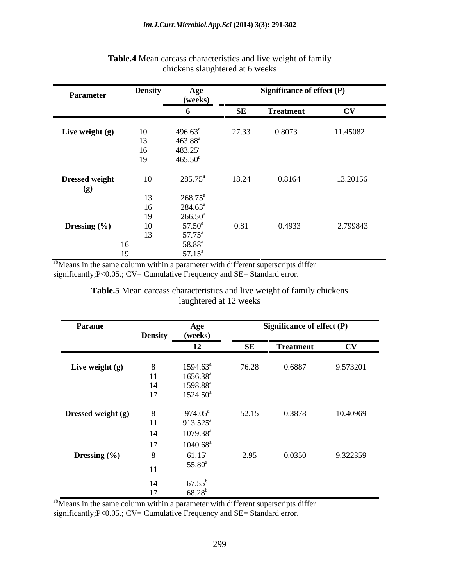| <b>Parameter</b>      | <b>Density</b> | Age                |       | <b>Significance of effect (P)</b> |                        |
|-----------------------|----------------|--------------------|-------|-----------------------------------|------------------------|
|                       |                | (weeks)            |       |                                   |                        |
|                       |                |                    | SE    | <b>Treatment</b>                  | $\mathbf{C}\mathbf{V}$ |
|                       |                |                    |       |                                   |                        |
| Live weight (g)       | 10             | $496.63^{\circ}$   | 27.33 | 0.8073                            | 11.45082               |
|                       | 13             | $463.88^{a}$       |       |                                   |                        |
|                       | 16             | 483.25             |       |                                   |                        |
|                       | 19             | $465.50^a$         |       |                                   |                        |
|                       |                |                    |       |                                   |                        |
| <b>Dressed weight</b> | 10             | $285.75^{\circ}$   | 18.24 | 0.8164                            | 13.20156               |
| (g)                   |                |                    |       |                                   |                        |
|                       | 13             | $268.75^a$         |       |                                   |                        |
|                       |                | $284.63^{\circ}$   |       |                                   |                        |
|                       |                | $266.50^{\circ}$   |       |                                   |                        |
|                       |                | $57.50^{\circ}$    |       | 0.4933                            | 2.799843               |
| Dressing (%)          |                |                    | 0.81  |                                   |                        |
|                       | 13             | $57.75^{\circ}$    |       |                                   |                        |
|                       | 16             | 58.88 <sup>a</sup> |       |                                   |                        |
|                       | 19             | $57.15^{\circ}$    |       |                                   |                        |

# **Table.4** Mean carcass characteristics and live weight of family chickens slaughtered at 6 weeks

abMeans in the same column within a parameter with different superscripts differ significantly;P<0.05.; CV= Cumulative Frequency and SE= Standard error.

| Table.<br>.<br>n carcass characteristics and live weight of family.<br>chickens<br>. Mear |  |
|-------------------------------------------------------------------------------------------|--|
| weeks<br>laughtered at 12                                                                 |  |

| Parame             |    | Age                  | <b>Significance of effect (P)</b> |                  |                        |  |  |
|--------------------|----|----------------------|-----------------------------------|------------------|------------------------|--|--|
|                    |    | Density (weeks)      |                                   |                  |                        |  |  |
|                    |    |                      | SE                                | <b>Treatment</b> | $\mathbf{C}\mathbf{V}$ |  |  |
| Live weight (g)    |    | $1594.63^{\circ}$    | 76.28                             | 0.6887           | 9.573201               |  |  |
|                    | 11 | $1656.38^{a}$        |                                   |                  |                        |  |  |
|                    | 14 | 1598.88 <sup>a</sup> |                                   |                  |                        |  |  |
|                    | 17 | $1524.50^a$          |                                   |                  |                        |  |  |
|                    |    |                      |                                   |                  |                        |  |  |
| Dressed weight (g) |    | $974.05^{\text{a}}$  | 52.15                             | 0.3878           | 10.40969               |  |  |
|                    | 11 | $913.525^{\text{a}}$ |                                   |                  |                        |  |  |
|                    | 14 | $1079.38^{a}$        |                                   |                  |                        |  |  |
|                    | 17 | $1040.68^{\rm a}$    |                                   |                  |                        |  |  |
| Dressing (%)       |    | $61.15^a$            | 2.95                              | 0.0350           | 9.322359               |  |  |
|                    |    | $55.80^{\circ}$      |                                   |                  |                        |  |  |
|                    | 11 |                      |                                   |                  |                        |  |  |
|                    | 14 | $67.55^{\rm b}$      |                                   |                  |                        |  |  |
|                    |    | $68.28^{h}$          |                                   |                  |                        |  |  |

ab<sub>Means</sub> in the same column within a parameter with different superscripts differ

significantly;  $P < 0.05$ .;  $CV =$  Cumulative Frequency and SE= Standard error.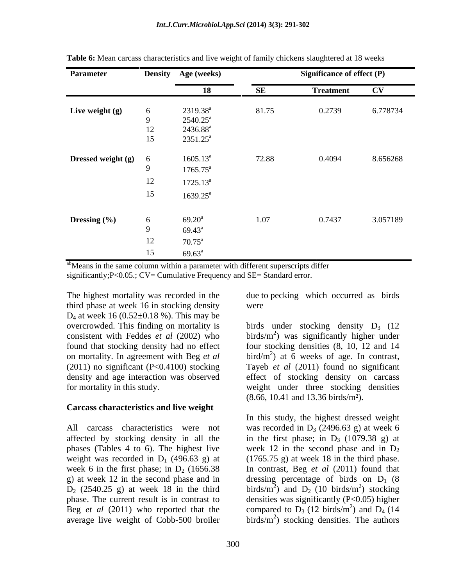| Parameter                   |    | Density Age (weeks)              |           | <b>Significance of effect (P)</b> |                        |
|-----------------------------|----|----------------------------------|-----------|-----------------------------------|------------------------|
|                             |    | 18                               | <b>SE</b> | <b>Treatment</b>                  | $\mathbf{C}\mathbf{V}$ |
|                             |    |                                  | 81.75     | 0.2739                            |                        |
| Live weight (g)             |    | $2319.38^a$<br>$2540.25^{\circ}$ |           |                                   | 6.778734               |
|                             | 12 | 2436.88 <sup>a</sup>             |           |                                   |                        |
|                             | 15 | $2351.25^a$                      |           |                                   |                        |
|                             |    |                                  |           |                                   |                        |
| <b>Dressed weight (g)</b> 6 |    | $1605.13^a$                      | 72.88     | 0.4094                            | 8.656268               |
|                             |    | $1765.75^{\circ}$                |           |                                   |                        |
|                             | 12 | $1725.13^a$                      |           |                                   |                        |
|                             | 15 | $1639.25^{\text{a}}$             |           |                                   |                        |
|                             |    |                                  |           |                                   |                        |
| Dressing (%)                |    | $69.20^{\rm a}$                  | 1.07      | 0.7437                            | 3.057189               |
|                             |    | $69.43^{\circ}$                  |           |                                   |                        |
|                             |    |                                  |           |                                   |                        |
|                             | 12 | $70.75^{\text{a}}$               |           |                                   |                        |
|                             | 15 | $69.63^{\circ}$                  |           |                                   |                        |

**Table 6:** Mean carcass characteristics and live weight of family chickens slaughtered at 18 weeks

<sup>ab</sup>Means in the same column within a parameter with different superscripts differ

significantly; P<0.05.; CV= Cumulative Frequency and SE= Standard error.

The highest mortality was recorded in the due to pecking which occurred as birds third phase at week 16 in stocking density  $D_4$  at week 16 (0.52 $\pm$ 0.18 %). This may be overcrowded. This finding on mortality is consistent with Feddes *et al* (2002) who

### **Carcass characteristics and live weight**

affected by stocking density in all the

were **were** 

overcrowded. This finding on mortality is birds under stocking density  $D_3$  (12 found that stocking density had no effect four stocking densities (8, 10, 12 and 14 on mortality. In agreement with Beg *et al* bird/m<sup>2</sup> ) at 6 weeks of age. In contrast, (2011) no significant (P<0.4100) stocking Tayeb *et al* (2011) found no significant density and age interaction was observed effect of stocking density on carcass for mortality in this study. weight under three stocking densities birds/ $m<sup>2</sup>$ ) was significantly higher under (8.66, 10.41 and 13.36 birds/m²).

All carcass characteristics were not was recorded in  $D_3$  (2496.63 g) at week 6 phases (Tables 4 to 6). The highest live week 12 in the second phase and in  $D_2$ weight was recorded in  $D_1$  (496.63 g) at (1765.75 g) at week 18 in the third phase. week 6 in the first phase; in  $D_2$  (1656.38 In contrast, Beg *et al* (2011) found that g) at week 12 in the second phase and in dressing percentage of birds on  $D_1$  (8  $D_2$  (2540.25 g) at week 18 in the third birds/m<sup>2</sup>) and  $D_2$  (10 birds/m<sup>2</sup>) stocking phase. The current result is in contrast to densities was significantly (P<0.05) higher Beg *et al* (2011) who reported that the compared to  $D_3$  (12 birds/m<sup>2</sup>) and  $D_4$  (14 average live weight of Cobb-500 broiler  $\qquad \text{birds/m}^2)$  stocking densities. The authors In this study, the highest dressed weight in the first phase; in  $D_3$  (1079.38 g) at ) and  $D_2$  (10 birds/m<sup>2</sup>) stocking  $^{2}$  stocking ) stocking  $^{2}$  and D. (14) ) and  $D_4$  (14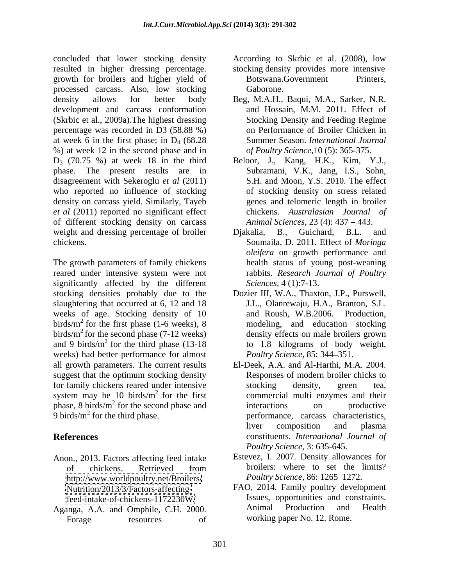concluded that lower stocking density According to Skrbic et al. (2008), low concluded that lower stocking density According to Skrbic et al. (2008), low<br>resulted in higher dressing percentage. Stocking density provides more intensive growth for broilers and higher yield of processed carcass. Also, low stocking density allows for better body Beg, M.A.H., Baqui, M.A., Sarker, N.R. development and carcass conformation (Skrbic et al., 2009a).The highest dressing percentage was recorded in D3 (58.88 %) at week 6 in the first phase; in  $D_4$  (68.28) %) at week 12 in the second phase and in D3 (70.75 %) at week 18 in the third Beloor, J., Kang, H.K., Kim, Y.J., phase. The present results are in disagreement with Sekeroglu *et al* (2011) who reported no influence of stocking density on carcass yield. Similarly, Tayeb *et al* (2011) reported no significant effect of different stocking density on carcass weight and dressing percentage of broiler Djakalia, B., Guichard, B.L. and

The growth parameters of family chickens reared under intensive system were not significantly affected by the different stocking densities probably due to the Dozier III, W.A., Thaxton, J.P., Purswell, slaughtering that occurred at 6, 12 and 18 weeks of age. Stocking density of 10 and Roush, W.B.2006. Production, birds/ $m<sup>2</sup>$  for the first phase (1-6 weeks), 8 birds/ $m^2$  for the second phase (7-12 weeks) and 9 birds/ $m<sup>2</sup>$  for the third phase (13-18) weeks) had better performance for almost all growth parameters. The current results suggest that the optimum stocking density for family chickens reared under intensive<br>stocking density, green tea,<br>system may be 10 birds/ $m^2$  for the first commercial multi enzymes and their

- Anon., 2013. Factors affecting feed intake <http://www.worldpoultry.net/Broilers/> <Nutrition/2013/3/Factors-affecting->
- Aganga, A.A. and Omphile, C.H. 2000. Forage resources of working paper No. 12. Rome.

stocking density provides more intensive

- Botswana.Government Gaborone.
- and Hossain, M.M. 2011. Effect of Stocking Density and Feeding Regime on Performance of Broiler Chicken in Summer Season. *International Journal of Poultry Science,*10 (5): 365-375.
- Subramani, V.K., Jang, I.S., Sohn, S.H. and Moon, Y.S. 2010. The effect of stocking density on stress related genes and telomeric length in broiler chickens. *Australasian Journal of Animal Sciences, 23 (4): 437 – 443.*
- chickens. Soumaila, D. 2011. Effect of *Moringa*  Djakalia, B., Guichard, B.L. and *oleifera* on growth performance and health status of young post-weaning rabbits. *Research Journal of Poultry Sciences,* 4 (1):7-13.
	- for the first phase (1-6 weeks), 8 modeling, and education stocking for the second phase (7-12 weeks) density effects on male broilers grown  $2^{2}$  for the third phase (13-18 to 1.8 kilograms of body weight, J.L., Olanrewaju, H.A., Branton, S.L. and Roush, W.B.2006. Production, *Poultry Science*, 85: 344–351.
- system may be 10 birds/ $m^2$  for the first commercial multi enzymes and their  $phase$ , 8 birds/ $m<sup>2</sup>$  for the second phase and interactions on productive for the second phase and interactions on productive  $9 \text{ birds/m}^2$  for the third phase.  $\blacksquare$  performance, carcass characteristics, **References** constituents. *International Journal of* El-Deek, A.A. and Al-Harthi, M.A. 2004. Responses of modern broiler chicks to stocking density, green tea, interactions on productive liver composition and plasma *Poultry Science,* 3: 635-645.
	- of chickens. Retrieved from broilers: where to set the limits? Estevez, I. 2007. Density allowances for broilers: where to set the limits? *Poultry Science, 86: 1265-1272.*
	- <feed-intake-of-chickens-1172230W/> Issues, opportunities and constraints.<br>anga A.A. and Omphile C.H. 2000 Animal Production and Health FAO, 2014. Family poultry development Issues, opportunities and constraints. Animal Production and Health working paper No. 12. Rome.